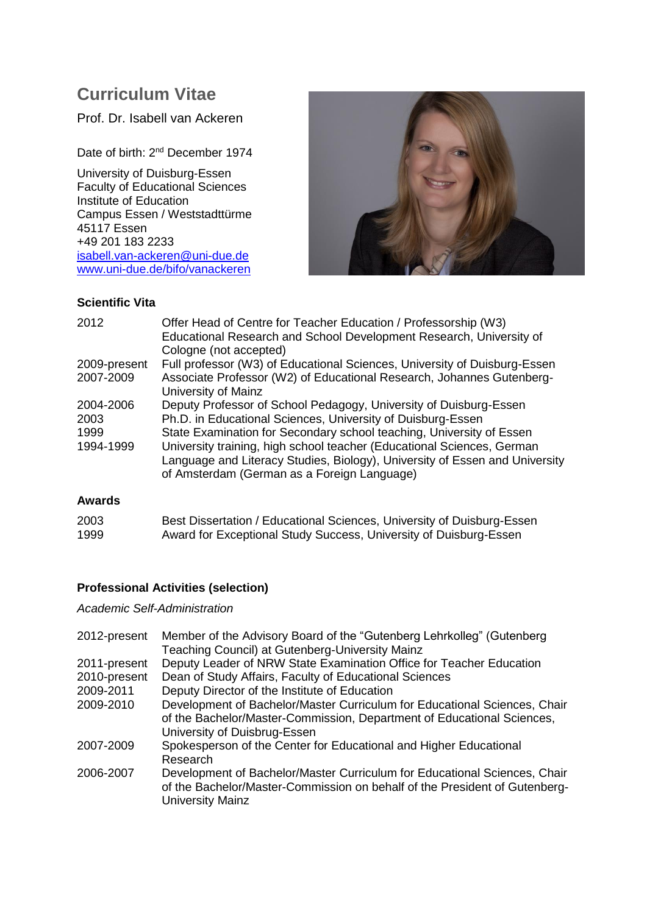# **Curriculum Vitae**

Prof. Dr. Isabell van Ackeren

Date of birth: 2<sup>nd</sup> December 1974

University of Duisburg-Essen Faculty of Educational Sciences Institute of Education Campus Essen / Weststadttürme 45117 Essen +49 201 183 2233 [isabell.van-ackeren@uni-due.de](mailto:isabell.van-ackeren@uni-due.de) [www.uni-due.de/bifo/vanackeren](http://www.uni-due.de/bifo/vanackeren)



## **Scientific Vita**

| 2012                      | Offer Head of Centre for Teacher Education / Professorship (W3)<br>Educational Research and School Development Research, University of<br>Cologne (not accepted)                                     |
|---------------------------|------------------------------------------------------------------------------------------------------------------------------------------------------------------------------------------------------|
| 2009-present<br>2007-2009 | Full professor (W3) of Educational Sciences, University of Duisburg-Essen<br>Associate Professor (W2) of Educational Research, Johannes Gutenberg-                                                   |
|                           | University of Mainz                                                                                                                                                                                  |
| 2004-2006                 | Deputy Professor of School Pedagogy, University of Duisburg-Essen                                                                                                                                    |
| 2003                      | Ph.D. in Educational Sciences, University of Duisburg-Essen                                                                                                                                          |
| 1999                      | State Examination for Secondary school teaching, University of Essen                                                                                                                                 |
| 1994-1999                 | University training, high school teacher (Educational Sciences, German<br>Language and Literacy Studies, Biology), University of Essen and University<br>of Amsterdam (German as a Foreign Language) |
|                           |                                                                                                                                                                                                      |

## **Awards**

| 2003 | Best Dissertation / Educational Sciences, University of Duisburg-Essen |
|------|------------------------------------------------------------------------|
| 1999 | Award for Exceptional Study Success, University of Duisburg-Essen      |

## **Professional Activities (selection)**

*Academic Self-Administration*

| 2012-present | Member of the Advisory Board of the "Gutenberg Lehrkolleg" (Gutenberg<br>Teaching Council) at Gutenberg-University Mainz                                                            |
|--------------|-------------------------------------------------------------------------------------------------------------------------------------------------------------------------------------|
| 2011-present | Deputy Leader of NRW State Examination Office for Teacher Education                                                                                                                 |
| 2010-present | Dean of Study Affairs, Faculty of Educational Sciences                                                                                                                              |
| 2009-2011    | Deputy Director of the Institute of Education                                                                                                                                       |
| 2009-2010    | Development of Bachelor/Master Curriculum for Educational Sciences, Chair<br>of the Bachelor/Master-Commission, Department of Educational Sciences,<br>University of Duisbrug-Essen |
| 2007-2009    | Spokesperson of the Center for Educational and Higher Educational<br>Research                                                                                                       |
| 2006-2007    | Development of Bachelor/Master Curriculum for Educational Sciences, Chair<br>of the Bachelor/Master-Commission on behalf of the President of Gutenberg-<br><b>University Mainz</b>  |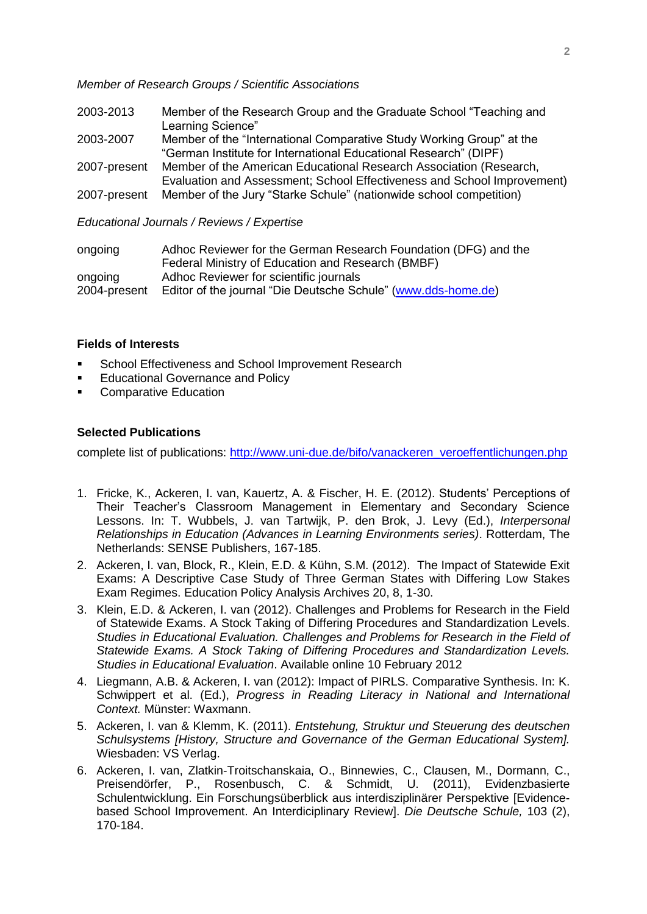#### *Member of Research Groups / Scientific Associations*

| 2003-2013    | Member of the Research Group and the Graduate School "Teaching and<br>Learning Science" |
|--------------|-----------------------------------------------------------------------------------------|
| 2003-2007    | Member of the "International Comparative Study Working Group" at the                    |
|              | "German Institute for International Educational Research" (DIPF)                        |
| 2007-present | Member of the American Educational Research Association (Research,                      |
|              | Evaluation and Assessment; School Effectiveness and School Improvement)                 |
|              | 2007-present Member of the Jury "Starke Schule" (nationwide school competition)         |

#### *Educational Journals / Reviews / Expertise*

| ongoing      | Adhoc Reviewer for the German Research Foundation (DFG) and the |
|--------------|-----------------------------------------------------------------|
|              | Federal Ministry of Education and Research (BMBF)               |
| ongoing      | Adhoc Reviewer for scientific journals                          |
| 2004-present | Editor of the journal "Die Deutsche Schule" (www.dds-home.de)   |

### **Fields of Interests**

- School Effectiveness and School Improvement Research
- Educational Governance and Policy
- Comparative Education

## **Selected Publications**

complete list of publications: [http://www.uni-due.de/bifo/vanackeren\\_veroeffentlichungen.php](http://www.uni-due.de/bifo/vanackeren_veroeffentlichungen.php)

- 1. Fricke, K., Ackeren, I. van, Kauertz, A. & Fischer, H. E. (2012). Students' Perceptions of Their Teacher's Classroom Management in Elementary and Secondary Science Lessons. In: T. Wubbels, J. van Tartwijk, P. den Brok, J. Levy (Ed.), *Interpersonal Relationships in Education (Advances in Learning Environments series)*. Rotterdam, The Netherlands: SENSE Publishers, 167-185.
- 2. Ackeren, I. van, Block, R., Klein, E.D. & Kühn, S.M. (2012). The Impact of Statewide Exit Exams: A Descriptive Case Study of Three German States with Differing Low Stakes Exam Regimes. Education Policy Analysis Archives 20, 8, 1-30.
- 3. Klein, E.D. & Ackeren, I. van (2012). Challenges and Problems for Research in the Field of Statewide Exams. A Stock Taking of Differing Procedures and Standardization Levels. *Studies in Educational Evaluation. Challenges and Problems for Research in the Field of Statewide Exams. A Stock Taking of Differing Procedures and Standardization Levels. Studies in Educational Evaluation*. Available online 10 February 2012
- 4. Liegmann, A.B. & Ackeren, I. van (2012): Impact of PIRLS. Comparative Synthesis. In: K. Schwippert et al. (Ed.), *Progress in Reading Literacy in National and International Context.* Münster: Waxmann.
- 5. Ackeren, I. van & Klemm, K. (2011). *Entstehung, Struktur und Steuerung des deutschen Schulsystems [History, Structure and Governance of the German Educational System].* Wiesbaden: VS Verlag.
- 6. Ackeren, I. van, Zlatkin-Troitschanskaia, O., Binnewies, C., Clausen, M., Dormann, C., Preisendörfer, P., Rosenbusch, C. & Schmidt, U. (2011), Evidenzbasierte Schulentwicklung. Ein Forschungsüberblick aus interdisziplinärer Perspektive [Evidencebased School Improvement. An Interdiciplinary Review]. *Die Deutsche Schule,* 103 (2), 170-184.